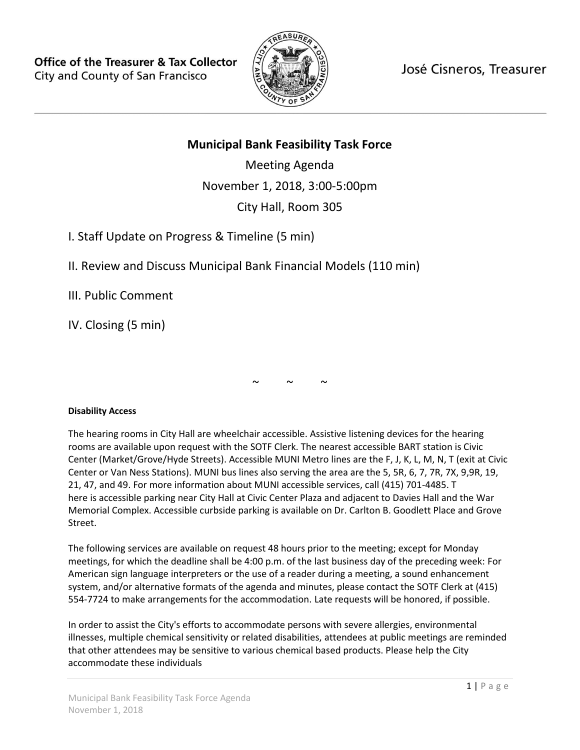

José Cisneros, Treasurer

# **Municipal Bank Feasibility Task Force**

Meeting Agenda November 1, 2018, 3:00-5:00pm City Hall, Room 305

I. Staff Update on Progress & Timeline (5 min)

II. Review and Discuss Municipal Bank Financial Models (110 min)

III. Public Comment

IV. Closing (5 min)

 $\sim$   $\sim$   $\sim$ 

## **Disability Access**

The hearing rooms in City Hall are wheelchair accessible. Assistive listening devices for the hearing rooms are available upon request with the SOTF Clerk. The nearest accessible BART station is Civic Center (Market/Grove/Hyde Streets). Accessible MUNI Metro lines are the F, J, K, L, M, N, T (exit at Civic Center or Van Ness Stations). MUNI bus lines also serving the area are the 5, 5R, 6, 7, 7R, 7X, 9,9R, 19, 21, 47, and 49. For more information about MUNI accessible services, call (415) 701-4485. T here is accessible parking near City Hall at Civic Center Plaza and adjacent to Davies Hall and the War Memorial Complex. Accessible curbside parking is available on Dr. Carlton B. Goodlett Place and Grove Street.

The following services are available on request 48 hours prior to the meeting; except for Monday meetings, for which the deadline shall be 4:00 p.m. of the last business day of the preceding week: For American sign language interpreters or the use of a reader during a meeting, a sound enhancement system, and/or alternative formats of the agenda and minutes, please contact the SOTF Clerk at (415) 554-7724 to make arrangements for the accommodation. Late requests will be honored, if possible.

In order to assist the City's efforts to accommodate persons with severe allergies, environmental illnesses, multiple chemical sensitivity or related disabilities, attendees at public meetings are reminded that other attendees may be sensitive to various chemical based products. Please help the City accommodate these individuals